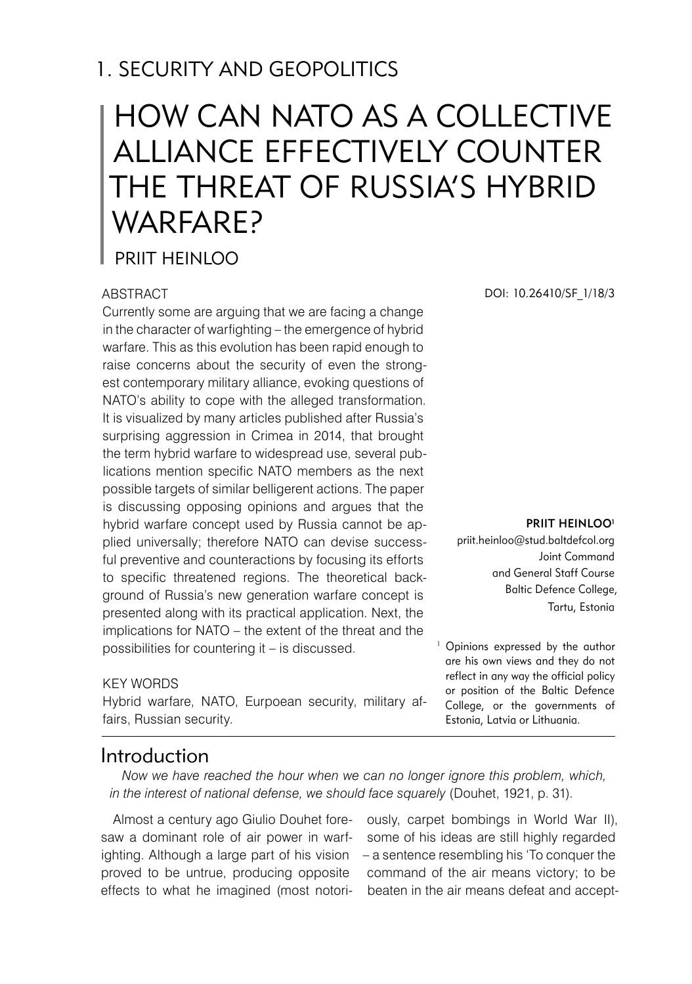## 1. SECURITY AND GEOPOLITICS

# HOW CAN NATO AS A COLLECTIVE ALLIANCE EFFECTIVELY COUNTER THE THREAT OF RUSSIA'S HYBRID WARFARF?

PRIIT HEINLOO

#### **ABSTRACT**

Currently some are arguing that we are facing a change in the character of warfighting – the emergence of hybrid warfare. This as this evolution has been rapid enough to raise concerns about the security of even the strongest contemporary military alliance, evoking questions of NATO's ability to cope with the alleged transformation. It is visualized by many articles published after Russia's surprising aggression in Crimea in 2014, that brought the term hybrid warfare to widespread use, several publications mention specific NATO members as the next possible targets of similar belligerent actions. The paper is discussing opposing opinions and argues that the hybrid warfare concept used by Russia cannot be applied universally; therefore NATO can devise successful preventive and counteractions by focusing its efforts to specific threatened regions. The theoretical background of Russia's new generation warfare concept is presented along with its practical application. Next, the implications for NATO – the extent of the threat and the possibilities for countering it – is discussed.

#### KFY WORDS

Hybrid warfare, NATO, Eurpoean security, military affairs, Russian security.

DOI: 10.26410/SF\_1/18/3

PRIIT HEINLOO<sup>1</sup>

priit.heinloo@stud.baltdefcol.org Joint Command and General Staff Course Baltic Defence College, Tartu, Estonia

<sup>1</sup> Opinions expressed by the author are his own views and they do not reflect in any way the official policy or position of the Baltic Defence College, or the governments of Estonia, Latvia or Lithuania.

#### Introduction

*Now we have reached the hour when we can no longer ignore this problem, which, in the interest of national defense, we should face squarely* (Douhet, 1921, p. 31).

Almost a century ago Giulio Douhet foresaw a dominant role of air power in warfproved to be untrue, producing opposite effects to what he imagined (most notori-

ighting. Although a large part of his vision – a sentence resembling his 'To conquer the ously, carpet bombings in World War II), some of his ideas are still highly regarded command of the air means victory; to be beaten in the air means defeat and accept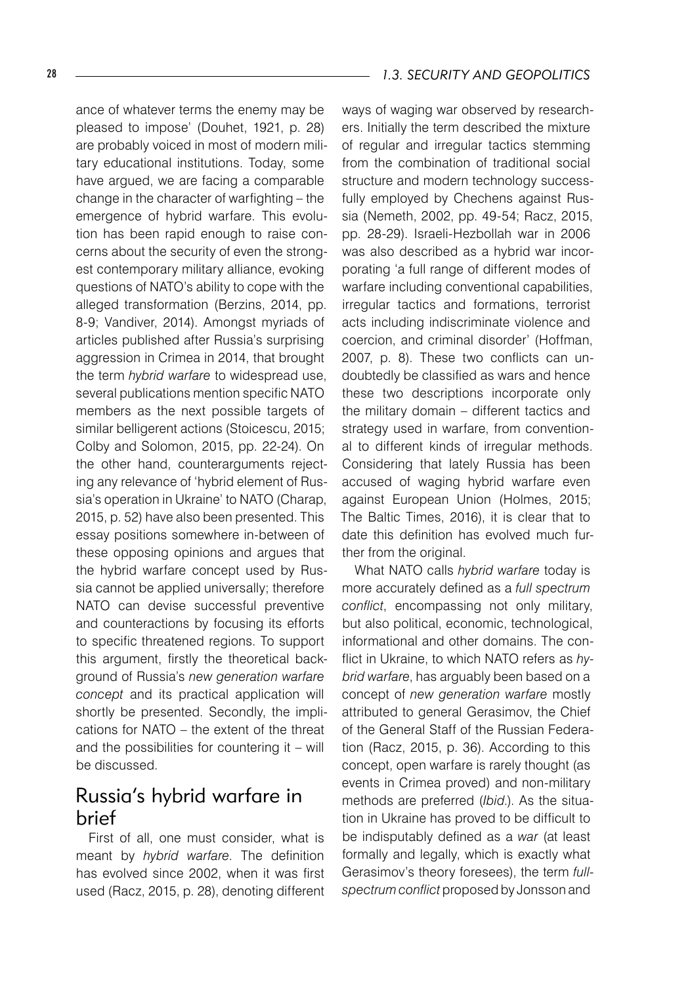ance of whatever terms the enemy may be pleased to impose' (Douhet, 1921, p. 28) are probably voiced in most of modern military educational institutions. Today, some have argued, we are facing a comparable change in the character of warfighting – the emergence of hybrid warfare. This evolution has been rapid enough to raise concerns about the security of even the strongest contemporary military alliance, evoking questions of NATO's ability to cope with the alleged transformation (Berzins, 2014, pp. 8-9; Vandiver, 2014). Amongst myriads of articles published after Russia's surprising aggression in Crimea in 2014, that brought the term *hybrid warfare* to widespread use, several publications mention specific NATO members as the next possible targets of similar belligerent actions (Stoicescu, 2015; Colby and Solomon, 2015, pp. 22-24). On the other hand, counterarguments rejecting any relevance of 'hybrid element of Russia's operation in Ukraine' to NATO (Charap, 2015, p. 52) have also been presented. This essay positions somewhere in-between of these opposing opinions and argues that the hybrid warfare concept used by Russia cannot be applied universally; therefore NATO can devise successful preventive and counteractions by focusing its efforts to specific threatened regions. To support this argument, firstly the theoretical background of Russia's *new generation warfare concept* and its practical application will shortly be presented. Secondly, the implications for NATO – the extent of the threat and the possibilities for countering it – will be discussed.

### Russia's hybrid warfare in brief

First of all, one must consider, what is meant by *hybrid warfare*. The definition has evolved since 2002, when it was first used (Racz, 2015, p. 28), denoting different ways of waging war observed by researchers. Initially the term described the mixture of regular and irregular tactics stemming from the combination of traditional social structure and modern technology successfully employed by Chechens against Russia (Nemeth, 2002, pp. 49-54; Racz, 2015, pp. 28-29). Israeli-Hezbollah war in 2006 was also described as a hybrid war incorporating 'a full range of different modes of warfare including conventional capabilities, irregular tactics and formations, terrorist acts including indiscriminate violence and coercion, and criminal disorder' (Hoffman, 2007, p. 8). These two conflicts can undoubtedly be classified as wars and hence these two descriptions incorporate only the military domain – different tactics and strategy used in warfare, from conventional to different kinds of irregular methods. Considering that lately Russia has been accused of waging hybrid warfare even against European Union (Holmes, 2015; The Baltic Times, 2016), it is clear that to date this definition has evolved much further from the original.

What NATO calls *hybrid warfare* today is more accurately defined as a *full spectrum conflict*, encompassing not only military, but also political, economic, technological, informational and other domains. The conflict in Ukraine, to which NATO refers as *hybrid warfare*, has arguably been based on a concept of *new generation warfare* mostly attributed to general Gerasimov, the Chief of the General Staff of the Russian Federation (Racz, 2015, p. 36). According to this concept, open warfare is rarely thought (as events in Crimea proved) and non-military methods are preferred (*Ibid*.). As the situation in Ukraine has proved to be difficult to be indisputably defined as a *war* (at least formally and legally, which is exactly what Gerasimov's theory foresees), the term *fullspectrum conflict* proposed by Jonsson and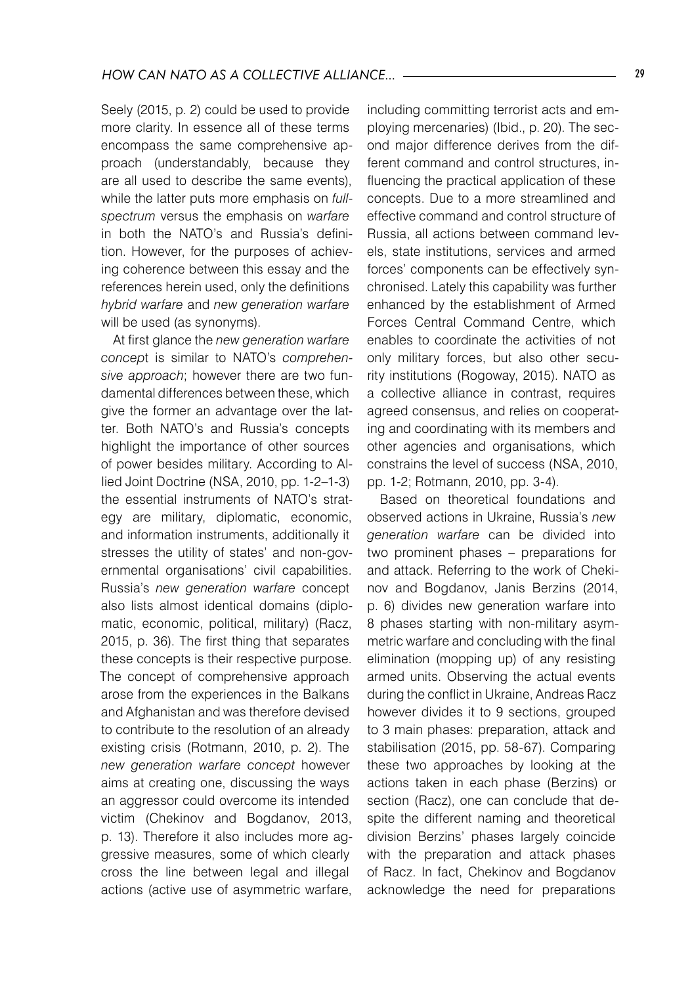Seely (2015, p. 2) could be used to provide more clarity. In essence all of these terms encompass the same comprehensive approach (understandably, because they are all used to describe the same events), while the latter puts more emphasis on *fullspectrum* versus the emphasis on *warfare* in both the NATO's and Russia's definition. However, for the purposes of achieving coherence between this essay and the references herein used, only the definitions *hybrid warfare* and *new generation warfare* will be used (as synonyms).

At first glance the *new generation warfare concep*t is similar to NATO's *comprehensive approach*; however there are two fundamental differences between these, which give the former an advantage over the latter. Both NATO's and Russia's concepts highlight the importance of other sources of power besides military. According to Allied Joint Doctrine (NSA, 2010, pp. 1-2–1-3) the essential instruments of NATO's strategy are military, diplomatic, economic, and information instruments, additionally it stresses the utility of states' and non-governmental organisations' civil capabilities. Russia's *new generation warfare* concept also lists almost identical domains (diplomatic, economic, political, military) (Racz, 2015, p. 36). The first thing that separates these concepts is their respective purpose. The concept of comprehensive approach arose from the experiences in the Balkans and Afghanistan and was therefore devised to contribute to the resolution of an already existing crisis (Rotmann, 2010, p. 2). The *new generation warfare concept* however aims at creating one, discussing the ways an aggressor could overcome its intended victim (Chekinov and Bogdanov, 2013, p. 13). Therefore it also includes more aggressive measures, some of which clearly cross the line between legal and illegal actions (active use of asymmetric warfare,

including committing terrorist acts and employing mercenaries) (Ibid., p. 20). The second major difference derives from the different command and control structures, influencing the practical application of these concepts. Due to a more streamlined and effective command and control structure of Russia, all actions between command levels, state institutions, services and armed forces' components can be effectively synchronised. Lately this capability was further enhanced by the establishment of Armed Forces Central Command Centre, which enables to coordinate the activities of not only military forces, but also other security institutions (Rogoway, 2015). NATO as a collective alliance in contrast, requires agreed consensus, and relies on cooperating and coordinating with its members and other agencies and organisations, which constrains the level of success (NSA, 2010, pp. 1-2; Rotmann, 2010, pp. 3-4).

Based on theoretical foundations and observed actions in Ukraine, Russia's *new generation warfare* can be divided into two prominent phases – preparations for and attack. Referring to the work of Chekinov and Bogdanov, Janis Berzins (2014, p. 6) divides new generation warfare into 8 phases starting with non-military asymmetric warfare and concluding with the final elimination (mopping up) of any resisting armed units. Observing the actual events during the conflict in Ukraine, Andreas Racz however divides it to 9 sections, grouped to 3 main phases: preparation, attack and stabilisation (2015, pp. 58-67). Comparing these two approaches by looking at the actions taken in each phase (Berzins) or section (Racz), one can conclude that despite the different naming and theoretical division Berzins' phases largely coincide with the preparation and attack phases of Racz. In fact, Chekinov and Bogdanov acknowledge the need for preparations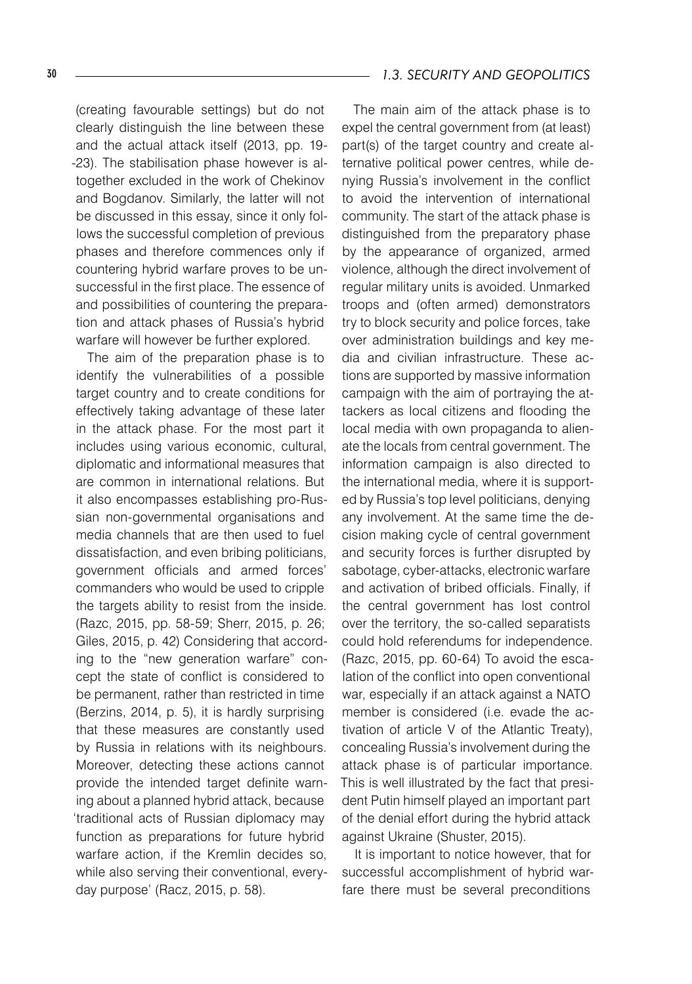(creating favourable settings) but do not clearly distinguish the line between these and the actual attack itself (2013, pp. 19- -23). The stabilisation phase however is altogether excluded in the work of Chekinov and Bogdanov. Similarly, the latter will not be discussed in this essay, since it only follows the successful completion of previous phases and therefore commences only if countering hybrid warfare proves to be unsuccessful in the first place. The essence of and possibilities of countering the preparation and attack phases of Russia's hybrid warfare will however be further explored.

The aim of the preparation phase is to identify the vulnerabilities of a possible target country and to create conditions for effectively taking advantage of these later in the attack phase. For the most part it includes using various economic, cultural, diplomatic and informational measures that are common in international relations. But it also encompasses establishing pro-Russian non-governmental organisations and media channels that are then used to fuel dissatisfaction, and even bribing politicians, government officials and armed forces' commanders who would be used to cripple the targets ability to resist from the inside. (Razc, 2015, pp. 58-59; Sherr, 2015, p. 26; Giles, 2015, p. 42) Considering that according to the "new generation warfare" concept the state of conflict is considered to be permanent, rather than restricted in time (Berzins, 2014, p. 5), it is hardly surprising that these measures are constantly used by Russia in relations with its neighbours. Moreover, detecting these actions cannot provide the intended target definite warning about a planned hybrid attack, because 'traditional acts of Russian diplomacy may function as preparations for future hybrid warfare action, if the Kremlin decides so, while also serving their conventional, everyday purpose' (Racz, 2015, p. 58).

#### 30 *1.3. SECURITY AND GEOPOLITICS*

The main aim of the attack phase is to expel the central government from (at least) part(s) of the target country and create alternative political power centres, while denying Russia's involvement in the conflict to avoid the intervention of international community. The start of the attack phase is distinguished from the preparatory phase by the appearance of organized, armed violence, although the direct involvement of regular military units is avoided. Unmarked troops and (often armed) demonstrators try to block security and police forces, take over administration buildings and key media and civilian infrastructure. These actions are supported by massive information campaign with the aim of portraying the attackers as local citizens and flooding the local media with own propaganda to alienate the locals from central government. The information campaign is also directed to the international media, where it is supported by Russia's top level politicians, denying any involvement. At the same time the decision making cycle of central government and security forces is further disrupted by sabotage, cyber-attacks, electronic warfare and activation of bribed officials. Finally, if the central government has lost control over the territory, the so-called separatists could hold referendums for independence. (Razc, 2015, pp. 60-64) To avoid the escalation of the conflict into open conventional war, especially if an attack against a NATO member is considered (i.e. evade the activation of article V of the Atlantic Treaty), concealing Russia's involvement during the attack phase is of particular importance. This is well illustrated by the fact that president Putin himself played an important part of the denial effort during the hybrid attack against Ukraine (Shuster, 2015).

It is important to notice however, that for successful accomplishment of hybrid warfare there must be several preconditions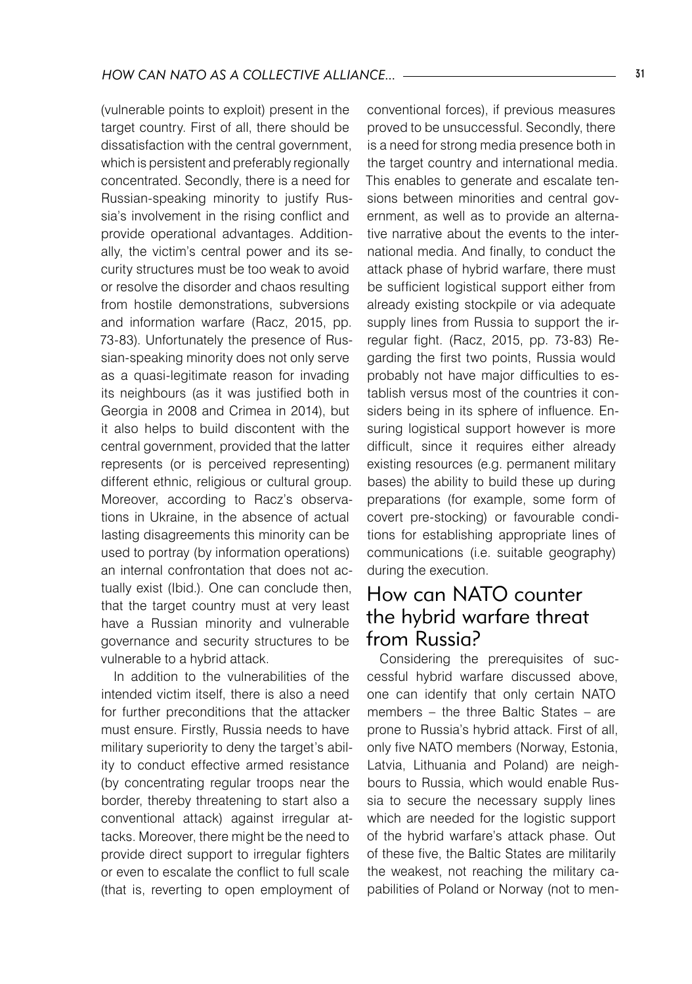(vulnerable points to exploit) present in the target country. First of all, there should be dissatisfaction with the central government, which is persistent and preferably regionally concentrated. Secondly, there is a need for Russian-speaking minority to justify Russia's involvement in the rising conflict and provide operational advantages. Additionally, the victim's central power and its security structures must be too weak to avoid or resolve the disorder and chaos resulting from hostile demonstrations, subversions and information warfare (Racz, 2015, pp. 73-83). Unfortunately the presence of Russian-speaking minority does not only serve as a quasi-legitimate reason for invading its neighbours (as it was justified both in Georgia in 2008 and Crimea in 2014), but it also helps to build discontent with the central government, provided that the latter represents (or is perceived representing) different ethnic, religious or cultural group. Moreover, according to Racz's observations in Ukraine, in the absence of actual lasting disagreements this minority can be used to portray (by information operations) an internal confrontation that does not actually exist (Ibid.). One can conclude then, that the target country must at very least have a Russian minority and vulnerable governance and security structures to be vulnerable to a hybrid attack.

In addition to the vulnerabilities of the intended victim itself, there is also a need for further preconditions that the attacker must ensure. Firstly, Russia needs to have military superiority to deny the target's ability to conduct effective armed resistance (by concentrating regular troops near the border, thereby threatening to start also a conventional attack) against irregular attacks. Moreover, there might be the need to provide direct support to irregular fighters or even to escalate the conflict to full scale (that is, reverting to open employment of

conventional forces), if previous measures proved to be unsuccessful. Secondly, there is a need for strong media presence both in the target country and international media. This enables to generate and escalate tensions between minorities and central government, as well as to provide an alternative narrative about the events to the international media. And finally, to conduct the attack phase of hybrid warfare, there must be sufficient logistical support either from already existing stockpile or via adequate supply lines from Russia to support the irregular fight. (Racz, 2015, pp. 73-83) Regarding the first two points, Russia would probably not have major difficulties to establish versus most of the countries it considers being in its sphere of influence. Ensuring logistical support however is more difficult, since it requires either already existing resources (e.g. permanent military bases) the ability to build these up during preparations (for example, some form of covert pre-stocking) or favourable conditions for establishing appropriate lines of communications (i.e. suitable geography) during the execution.

## How can NATO counter the hybrid warfare threat from Russia?

Considering the prerequisites of successful hybrid warfare discussed above, one can identify that only certain NATO members – the three Baltic States – are prone to Russia's hybrid attack. First of all, only five NATO members (Norway, Estonia, Latvia, Lithuania and Poland) are neighbours to Russia, which would enable Russia to secure the necessary supply lines which are needed for the logistic support of the hybrid warfare's attack phase. Out of these five, the Baltic States are militarily the weakest, not reaching the military capabilities of Poland or Norway (not to men-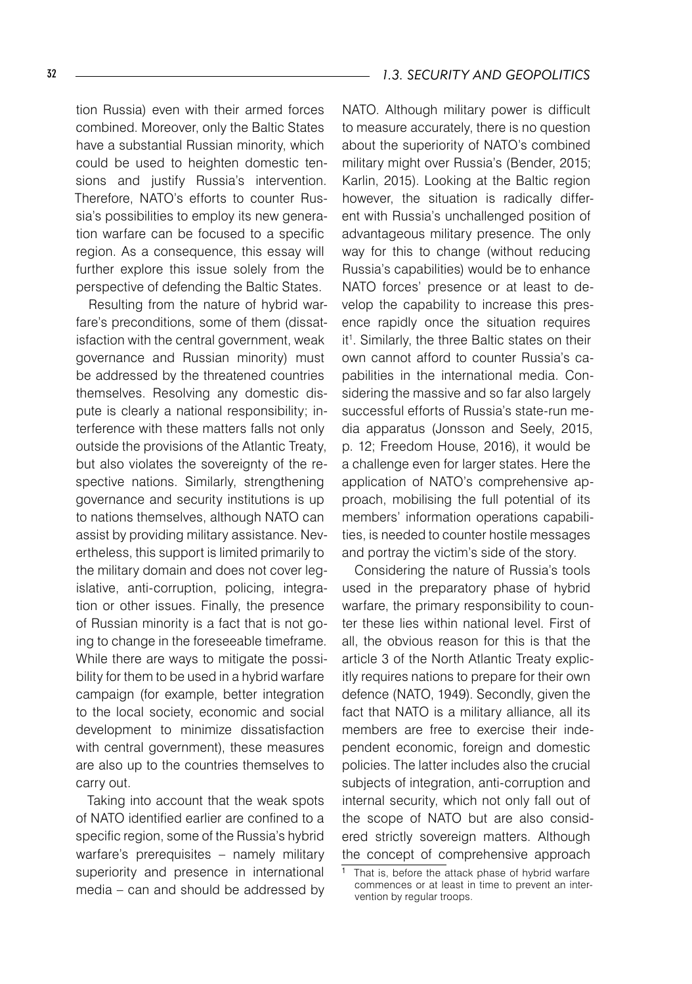tion Russia) even with their armed forces combined. Moreover, only the Baltic States have a substantial Russian minority, which could be used to heighten domestic tensions and justify Russia's intervention. Therefore, NATO's efforts to counter Russia's possibilities to employ its new generation warfare can be focused to a specific region. As a consequence, this essay will further explore this issue solely from the perspective of defending the Baltic States.

Resulting from the nature of hybrid warfare's preconditions, some of them (dissatisfaction with the central government, weak governance and Russian minority) must be addressed by the threatened countries themselves. Resolving any domestic dispute is clearly a national responsibility; interference with these matters falls not only outside the provisions of the Atlantic Treaty, but also violates the sovereignty of the respective nations. Similarly, strengthening governance and security institutions is up to nations themselves, although NATO can assist by providing military assistance. Nevertheless, this support is limited primarily to the military domain and does not cover legislative, anti-corruption, policing, integration or other issues. Finally, the presence of Russian minority is a fact that is not going to change in the foreseeable timeframe. While there are ways to mitigate the possibility for them to be used in a hybrid warfare campaign (for example, better integration to the local society, economic and social development to minimize dissatisfaction with central government), these measures are also up to the countries themselves to carry out.

Taking into account that the weak spots of NATO identified earlier are confined to a specific region, some of the Russia's hybrid warfare's prerequisites – namely military superiority and presence in international media – can and should be addressed by

NATO. Although military power is difficult to measure accurately, there is no question about the superiority of NATO's combined military might over Russia's (Bender, 2015; Karlin, 2015). Looking at the Baltic region however, the situation is radically different with Russia's unchallenged position of advantageous military presence. The only way for this to change (without reducing Russia's capabilities) would be to enhance NATO forces' presence or at least to develop the capability to increase this presence rapidly once the situation requires it1 . Similarly, the three Baltic states on their own cannot afford to counter Russia's capabilities in the international media. Considering the massive and so far also largely successful efforts of Russia's state-run media apparatus (Jonsson and Seely, 2015, p. 12; Freedom House, 2016), it would be a challenge even for larger states. Here the application of NATO's comprehensive approach, mobilising the full potential of its members' information operations capabilities, is needed to counter hostile messages and portray the victim's side of the story.

Considering the nature of Russia's tools used in the preparatory phase of hybrid warfare, the primary responsibility to counter these lies within national level. First of all, the obvious reason for this is that the article 3 of the North Atlantic Treaty explicitly requires nations to prepare for their own defence (NATO, 1949). Secondly, given the fact that NATO is a military alliance, all its members are free to exercise their independent economic, foreign and domestic policies. The latter includes also the crucial subjects of integration, anti-corruption and internal security, which not only fall out of the scope of NATO but are also considered strictly sovereign matters. Although the concept of comprehensive approach

That is, before the attack phase of hybrid warfare commences or at least in time to prevent an intervention by regular troops.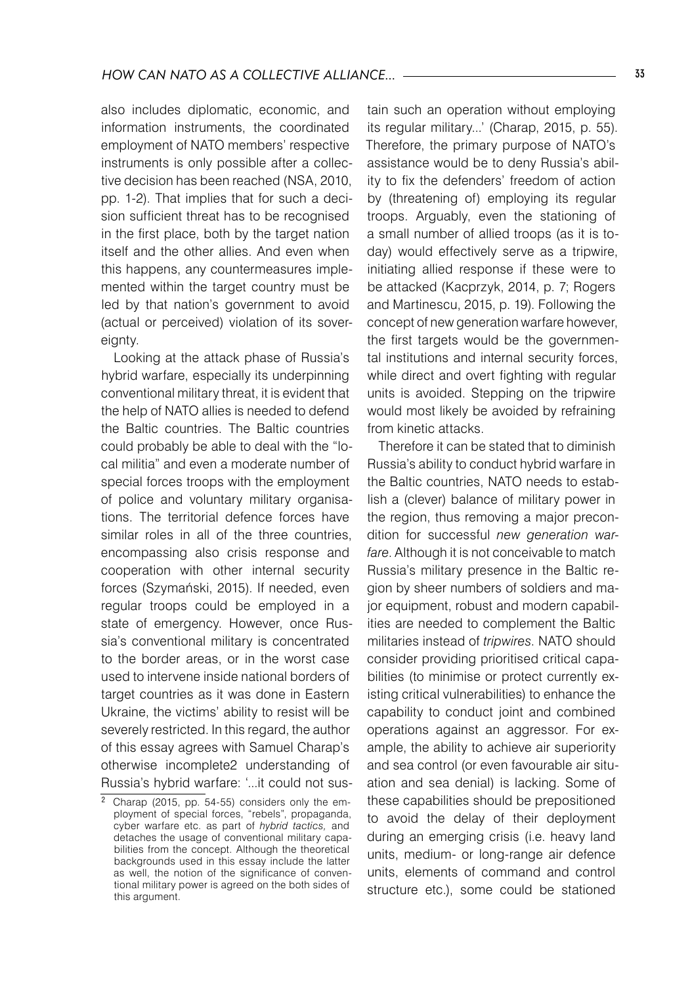also includes diplomatic, economic, and information instruments, the coordinated employment of NATO members' respective instruments is only possible after a collective decision has been reached (NSA, 2010, pp. 1-2). That implies that for such a decision sufficient threat has to be recognised in the first place, both by the target nation itself and the other allies. And even when this happens, any countermeasures implemented within the target country must be led by that nation's government to avoid (actual or perceived) violation of its sovereignty.

Looking at the attack phase of Russia's hybrid warfare, especially its underpinning conventional military threat, it is evident that the help of NATO allies is needed to defend the Baltic countries. The Baltic countries could probably be able to deal with the "local militia" and even a moderate number of special forces troops with the employment of police and voluntary military organisations. The territorial defence forces have similar roles in all of the three countries. encompassing also crisis response and cooperation with other internal security forces (Szymański, 2015). If needed, even regular troops could be employed in a state of emergency. However, once Russia's conventional military is concentrated to the border areas, or in the worst case used to intervene inside national borders of target countries as it was done in Eastern Ukraine, the victims' ability to resist will be severely restricted. In this regard, the author of this essay agrees with Samuel Charap's otherwise incomplete2 understanding of Russia's hybrid warfare: '...it could not sustain such an operation without employing its regular military...' (Charap, 2015, p. 55). Therefore, the primary purpose of NATO's assistance would be to deny Russia's ability to fix the defenders' freedom of action by (threatening of) employing its regular troops. Arguably, even the stationing of a small number of allied troops (as it is today) would effectively serve as a tripwire, initiating allied response if these were to be attacked (Kacprzyk, 2014, p. 7; Rogers and Martinescu, 2015, p. 19). Following the concept of new generation warfare however, the first targets would be the governmental institutions and internal security forces, while direct and overt fighting with regular units is avoided. Stepping on the tripwire would most likely be avoided by refraining from kinetic attacks.

Therefore it can be stated that to diminish Russia's ability to conduct hybrid warfare in the Baltic countries, NATO needs to establish a (clever) balance of military power in the region, thus removing a major precondition for successful *new generation warfare*. Although it is not conceivable to match Russia's military presence in the Baltic region by sheer numbers of soldiers and major equipment, robust and modern capabilities are needed to complement the Baltic militaries instead of *tripwires*. NATO should consider providing prioritised critical capabilities (to minimise or protect currently existing critical vulnerabilities) to enhance the capability to conduct joint and combined operations against an aggressor. For example, the ability to achieve air superiority and sea control (or even favourable air situation and sea denial) is lacking. Some of these capabilities should be prepositioned to avoid the delay of their deployment during an emerging crisis (i.e. heavy land units, medium- or long-range air defence units, elements of command and control structure etc.), some could be stationed

Charap (2015, pp. 54-55) considers only the employment of special forces, "rebels", propaganda, cyber warfare etc. as part of *hybrid tactics,* and detaches the usage of conventional military capabilities from the concept. Although the theoretical backgrounds used in this essay include the latter as well, the notion of the significance of conventional military power is agreed on the both sides of this argument.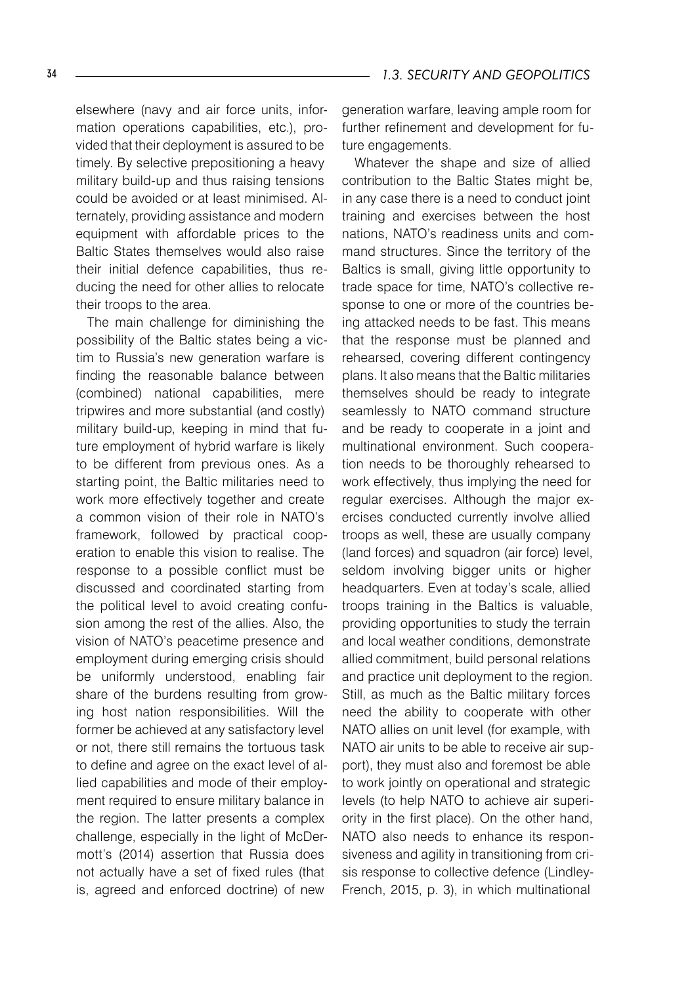elsewhere (navy and air force units, information operations capabilities, etc.), provided that their deployment is assured to be timely. By selective prepositioning a heavy military build-up and thus raising tensions could be avoided or at least minimised. Alternately, providing assistance and modern equipment with affordable prices to the Baltic States themselves would also raise their initial defence capabilities, thus reducing the need for other allies to relocate their troops to the area.

The main challenge for diminishing the possibility of the Baltic states being a victim to Russia's new generation warfare is finding the reasonable balance between (combined) national capabilities, mere tripwires and more substantial (and costly) military build-up, keeping in mind that future employment of hybrid warfare is likely to be different from previous ones. As a starting point, the Baltic militaries need to work more effectively together and create a common vision of their role in NATO's framework, followed by practical cooperation to enable this vision to realise. The response to a possible conflict must be discussed and coordinated starting from the political level to avoid creating confusion among the rest of the allies. Also, the vision of NATO's peacetime presence and employment during emerging crisis should be uniformly understood, enabling fair share of the burdens resulting from growing host nation responsibilities. Will the former be achieved at any satisfactory level or not, there still remains the tortuous task to define and agree on the exact level of allied capabilities and mode of their employment required to ensure military balance in the region. The latter presents a complex challenge, especially in the light of McDermott's (2014) assertion that Russia does not actually have a set of fixed rules (that is, agreed and enforced doctrine) of new

generation warfare, leaving ample room for further refinement and development for future engagements.

Whatever the shape and size of allied contribution to the Baltic States might be, in any case there is a need to conduct joint training and exercises between the host nations, NATO's readiness units and command structures. Since the territory of the Baltics is small, giving little opportunity to trade space for time, NATO's collective response to one or more of the countries being attacked needs to be fast. This means that the response must be planned and rehearsed, covering different contingency plans. It also means that the Baltic militaries themselves should be ready to integrate seamlessly to NATO command structure and be ready to cooperate in a joint and multinational environment. Such cooperation needs to be thoroughly rehearsed to work effectively, thus implying the need for regular exercises. Although the major exercises conducted currently involve allied troops as well, these are usually company (land forces) and squadron (air force) level, seldom involving bigger units or higher headquarters. Even at today's scale, allied troops training in the Baltics is valuable, providing opportunities to study the terrain and local weather conditions, demonstrate allied commitment, build personal relations and practice unit deployment to the region. Still, as much as the Baltic military forces need the ability to cooperate with other NATO allies on unit level (for example, with NATO air units to be able to receive air support), they must also and foremost be able to work jointly on operational and strategic levels (to help NATO to achieve air superiority in the first place). On the other hand, NATO also needs to enhance its responsiveness and agility in transitioning from crisis response to collective defence (Lindley-French, 2015, p. 3), in which multinational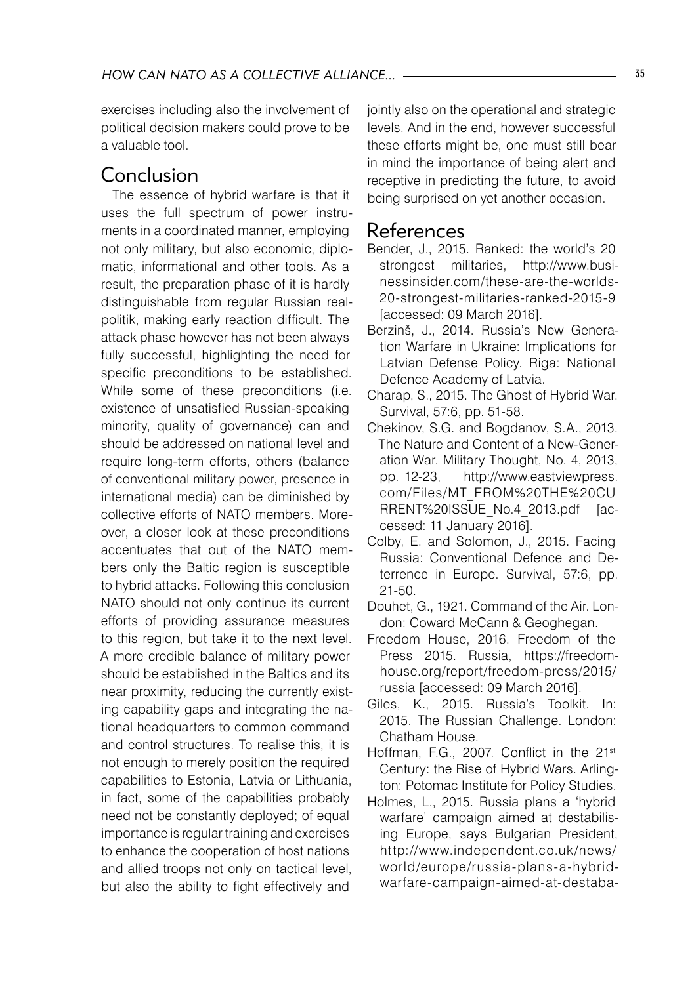exercises including also the involvement of political decision makers could prove to be a valuable tool.

## Conclusion

The essence of hybrid warfare is that it uses the full spectrum of power instruments in a coordinated manner, employing not only military, but also economic, diplomatic, informational and other tools. As a result, the preparation phase of it is hardly distinguishable from regular Russian realpolitik, making early reaction difficult. The attack phase however has not been always fully successful, highlighting the need for specific preconditions to be established. While some of these preconditions (i.e. existence of unsatisfied Russian-speaking minority, quality of governance) can and should be addressed on national level and require long-term efforts, others (balance of conventional military power, presence in international media) can be diminished by collective efforts of NATO members. Moreover, a closer look at these preconditions accentuates that out of the NATO members only the Baltic region is susceptible to hybrid attacks. Following this conclusion NATO should not only continue its current efforts of providing assurance measures to this region, but take it to the next level. A more credible balance of military power should be established in the Baltics and its near proximity, reducing the currently existing capability gaps and integrating the national headquarters to common command and control structures. To realise this, it is not enough to merely position the required capabilities to Estonia, Latvia or Lithuania, in fact, some of the capabilities probably need not be constantly deployed; of equal importance is regular training and exercises to enhance the cooperation of host nations and allied troops not only on tactical level, but also the ability to fight effectively and

jointly also on the operational and strategic levels. And in the end, however successful these efforts might be, one must still bear in mind the importance of being alert and receptive in predicting the future, to avoid being surprised on yet another occasion.

### References

- Bender, J., 2015. Ranked: the world's 20 strongest militaries, http://www.businessinsider.com/these-are-the-worlds-20-strongest-militaries-ranked-2015-9 [accessed: 09 March 2016].
- Berzinš, J., 2014. Russia's New Generation Warfare in Ukraine: Implications for Latvian Defense Policy. Riga: National Defence Academy of Latvia.
- Charap, S., 2015. The Ghost of Hybrid War. Survival, 57:6, pp. 51-58.
- Chekinov, S.G. and Bogdanov, S.A., 2013. The Nature and Content of a New-Generation War. Military Thought, No. 4, 2013, pp. 12-23, http://www.eastviewpress. com/Files/MT\_FROM%20THE%20CU RRENT%20ISSUE\_No.4\_2013.pdf [accessed: 11 January 2016].
- Colby, E. and Solomon, J., 2015. Facing Russia: Conventional Defence and Deterrence in Europe. Survival, 57:6, pp. 21-50.
- Douhet, G., 1921. Command of the Air. London: Coward McCann & Geoghegan.
- Freedom House, 2016. Freedom of the Press 2015. Russia, https://freedomhouse.org/report/freedom-press/2015/ russia [accessed: 09 March 2016].
- Giles, K., 2015. Russia's Toolkit. In: 2015. The Russian Challenge. London: Chatham House.
- Hoffman, F.G., 2007. Conflict in the 21<sup>st</sup> Century: the Rise of Hybrid Wars. Arlington: Potomac Institute for Policy Studies.
- Holmes, L., 2015. Russia plans a 'hybrid warfare' campaign aimed at destabilising Europe, says Bulgarian President, http://www.independent.co.uk/news/ world/europe/russia-plans-a-hybridwarfare-campaign-aimed-at-destaba-